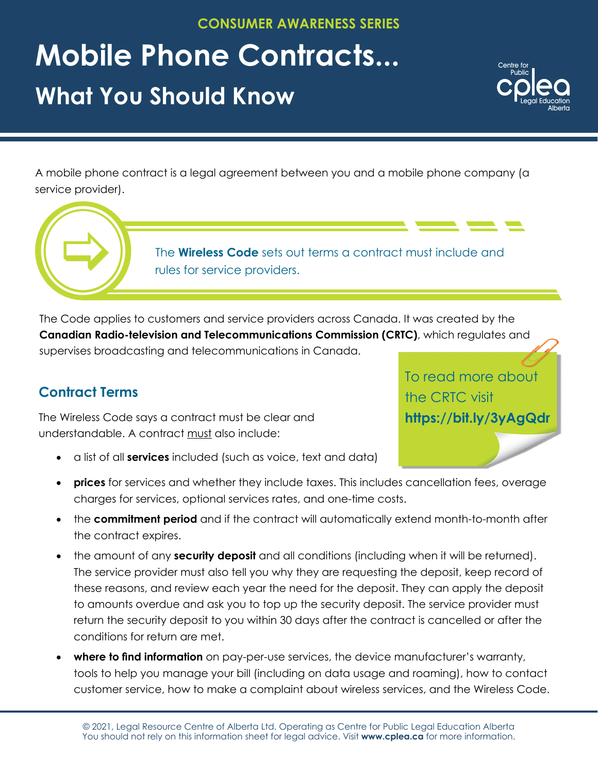#### **CONSUMER AWARENESS SERIES**

# **Mobile Phone Contracts... What You Should Know**



To read more about

**https://bit.ly/3yAgQdr**

the CRTC visit

A mobile phone contract is a legal agreement between you and a mobile phone company (a service provider).

> The **Wireless Code** sets out terms a contract must include and rules for service providers.

The Code applies to customers and service providers across Canada. It was created by the **Canadian Radio-television and Telecommunications Commission (CRTC)**, which regulates and supervises broadcasting and telecommunications in Canada.

### **Contract Terms**

 $\Rightarrow$ 

The Wireless Code says a contract must be clear and understandable. A contract must also include:

- • a list of all **services** included (such as voice, text and data)
- **prices** for services and whether they include taxes. This includes cancellation fees, overage charges for services, optional services rates, and one-time costs.
- the **commitment period** and if the contract will automatically extend month-to-month after the contract expires.
- the amount of any **security deposit** and all conditions (including when it will be returned). The service provider must also tell you why they are requesting the deposit, keep record of these reasons, and review each year the need for the deposit. They can apply the deposit to amounts overdue and ask you to top up the security deposit. The service provider must return the security deposit to you within 30 days after the contract is cancelled or after the conditions for return are met.
- **where to find information** on pay-per-use services, the device manufacturer's warranty, tools to help you manage your bill (including on data usage and roaming), how to contact customer service, how to make a complaint about wireless services, and the Wireless Code.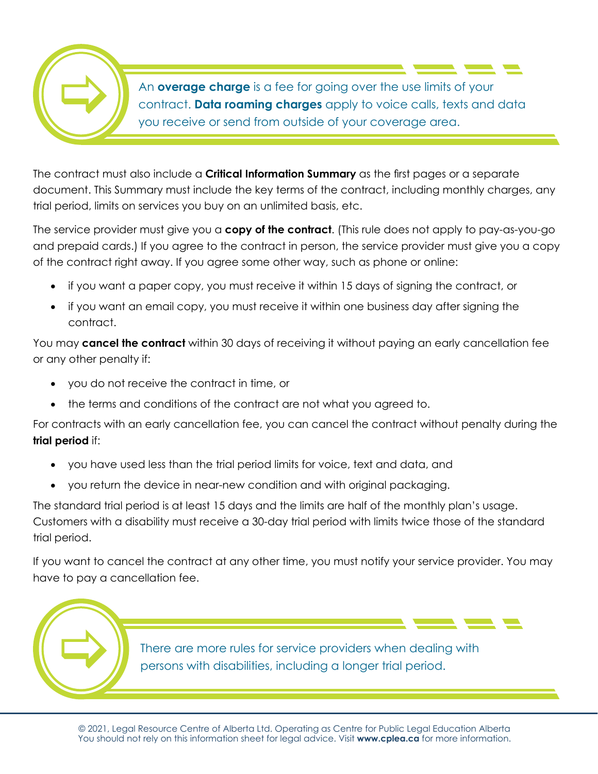

An **overage charge** is a fee for going over the use limits of your contract. **Data roaming charges** apply to voice calls, texts and data you receive or send from outside of your coverage area.

The contract must also include a **Critical Information Summary** as the first pages or a separate document. This Summary must include the key terms of the contract, including monthly charges, any trial period, limits on services you buy on an unlimited basis, etc.

The service provider must give you a **copy of the contract**. (This rule does not apply to pay-as-you-go and prepaid cards.) If you agree to the contract in person, the service provider must give you a copy of the contract right away. If you agree some other way, such as phone or online:

- if you want a paper copy, you must receive it within 15 days of signing the contract, or
- if you want an email copy, you must receive it within one business day after signing the contract.

You may **cancel the contract** within 30 days of receiving it without paying an early cancellation fee or any other penalty if:

- • you do not receive the contract in time, or
- the terms and conditions of the contract are not what you agreed to.

For contracts with an early cancellation fee, you can cancel the contract without penalty during the **trial period** if:

- you have used less than the trial period limits for voice, text and data, and
- you return the device in near-new condition and with original packaging.

The standard trial period is at least 15 days and the limits are half of the monthly plan's usage. Customers with a disability must receive a 30-day trial period with limits twice those of the standard trial period.

If you want to cancel the contract at any other time, you must notify your service provider. You may have to pay a cancellation fee.



There are more rules for service providers when dealing with persons with disabilities, including a longer trial period.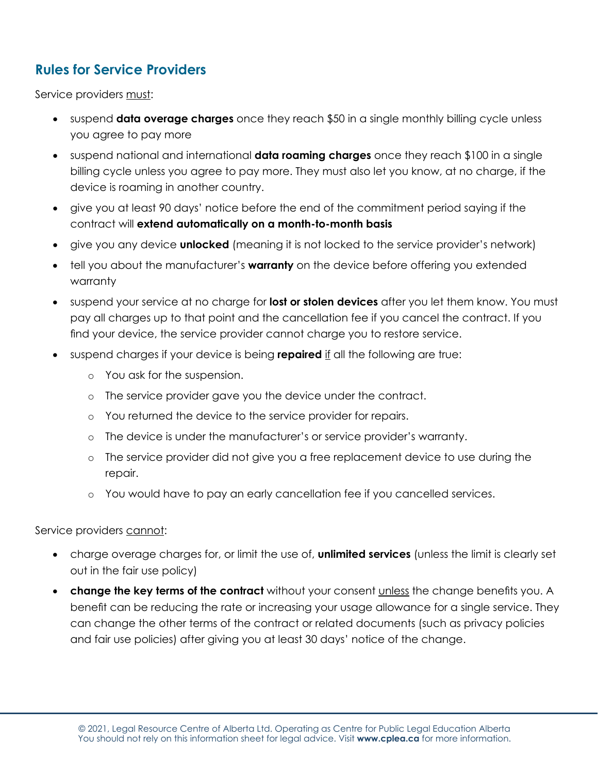### **Rules for Service Providers**

Service providers must:

- • suspend **data overage charges** once they reach \$50 in a single monthly billing cycle unless you agree to pay more
- suspend national and international **data roaming charges** once they reach \$100 in a single billing cycle unless you agree to pay more. They must also let you know, at no charge, if the device is roaming in another country.
- give you at least 90 days' notice before the end of the commitment period saying if the contract will **extend automatically on a month-to-month basis**
- give you any device **unlocked** (meaning it is not locked to the service provider's network)
- tell you about the manufacturer's **warranty** on the device before offering you extended warranty
- • suspend your service at no charge for **lost or stolen devices** after you let them know. You must pay all charges up to that point and the cancellation fee if you cancel the contract. If you find your device, the service provider cannot charge you to restore service.
- suspend charges if your device is being repaired if all the following are true:
	- o You ask for the suspension.
	- o The service provider gave you the device under the contract.
	- o You returned the device to the service provider for repairs.
	- o The device is under the manufacturer's or service provider's warranty.
	- o The service provider did not give you a free replacement device to use during the repair.
	- o You would have to pay an early cancellation fee if you cancelled services.

Service providers cannot:

- • charge overage charges for, or limit the use of, **unlimited services** (unless the limit is clearly set out in the fair use policy)
- **change the key terms of the contract** without your consent unless the change benefits you. A benefit can be reducing the rate or increasing your usage allowance for a single service. They can change the other terms of the contract or related documents (such as privacy policies and fair use policies) after giving you at least 30 days' notice of the change.